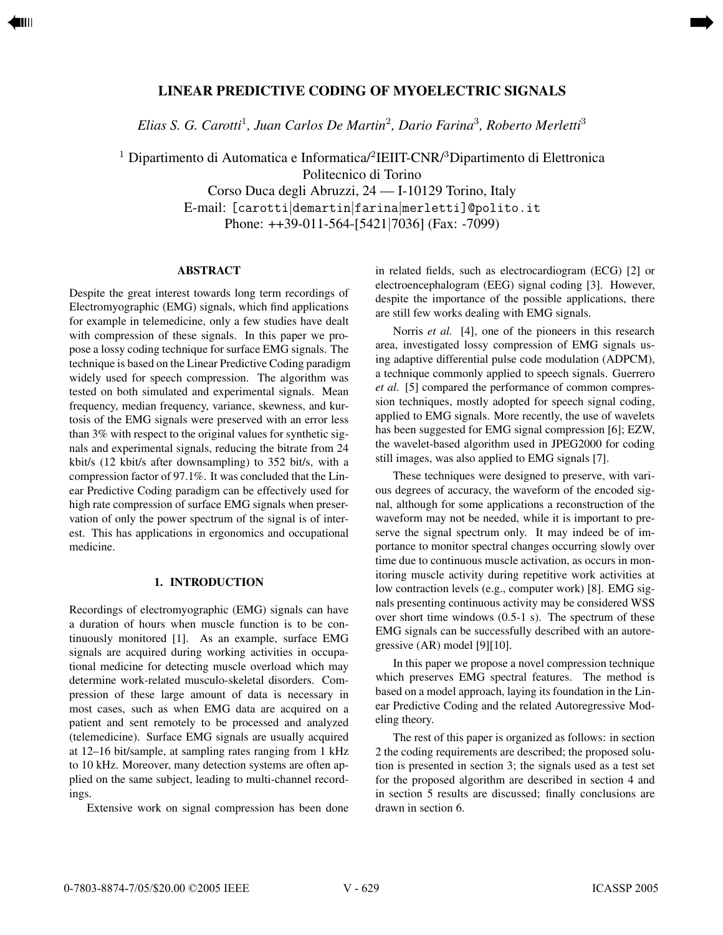# **LINEAR PREDICTIVE CODING OF MYOELECTRIC SIGNALS**

<span id="page-0-0"></span>[➡](#page-1-0)

*Elias S. G. Carotti*<sup>1</sup>*, Juan Carlos De Martin*<sup>2</sup>*, Dario Farina*<sup>3</sup>*, Roberto Merletti*<sup>3</sup>

 $^1$  Dipartimento di Automatica e Informatica/ $^2$ IEIIT-CNR/ $^3$ Dipartimento di Elettronica

Politecnico di Torino

Corso Duca degli Abruzzi, 24 — I-10129 Torino, Italy E-mail: [carotti|demartin|farina|merletti]@polito.it Phone: ++39-011-564-[5421|7036] (Fax: -7099)

### **ABSTRACT**

Despite the great interest towards long term recordings of Electromyographic (EMG) signals, which find applications for example in telemedicine, only a few studies have dealt with compression of these signals. In this paper we propose a lossy coding technique for surface EMG signals. The technique is based on the Linear Predictive Coding paradigm widely used for speech compression. The algorithm was tested on both simulated and experimental signals. Mean frequency, median frequency, variance, skewness, and kurtosis of the EMG signals were preserved with an error less than 3% with respect to the original values for synthetic signals and experimental signals, reducing the bitrate from 24 kbit/s (12 kbit/s after downsampling) to 352 bit/s, with a compression factor of 97.1%. It was concluded that the Linear Predictive Coding paradigm can be effectively used for high rate compression of surface EMG signals when preservation of only the power spectrum of the signal is of interest. This has applications in ergonomics and occupational medicine.

#### **1. INTRODUCTION**

Recordings of electromyographic (EMG) signals can have a duration of hours when muscle function is to be continuously monitored [1]. As an example, surface EMG signals are acquired during working activities in occupational medicine for detecting muscle overload which may determine work-related musculo-skeletal disorders. Compression of these large amount of data is necessary in most cases, such as when EMG data are acquired on a patient and sent remotely to be processed and analyzed (telemedicine). Surface EMG signals are usually acquired at 12–16 bit/sample, at sampling rates ranging from 1 kHz to 10 kHz. Moreover, many detection systems are often applied on the same subject, leading to multi-channel recordings.

Extensive work on signal compression has been done

in related fields, such as electrocardiogram (ECG) [2] or electroencephalogram (EEG) signal coding [3]. However, despite the importance of the possible applications, there are still few works dealing with EMG signals.

Norris *et al.* [4], one of the pioneers in this research area, investigated lossy compression of EMG signals using adaptive differential pulse code modulation (ADPCM), a technique commonly applied to speech signals. Guerrero *et al.* [5] compared the performance of common compression techniques, mostly adopted for speech signal coding, applied to EMG signals. More recently, the use of wavelets has been suggested for EMG signal compression [6]; EZW, the wavelet-based algorithm used in JPEG2000 for coding still images, was also applied to EMG signals [7].

These techniques were designed to preserve, with various degrees of accuracy, the waveform of the encoded signal, although for some applications a reconstruction of the waveform may not be needed, while it is important to preserve the signal spectrum only. It may indeed be of importance to monitor spectral changes occurring slowly over time due to continuous muscle activation, as occurs in monitoring muscle activity during repetitive work activities at low contraction levels (e.g., computer work) [8]. EMG signals presenting continuous activity may be considered WSS over short time windows (0.5-1 s). The spectrum of these EMG signals can be successfully described with an autoregressive (AR) model [9][10].

In this paper we propose a novel compression technique which preserves EMG spectral features. The method is based on a model approach, laying its foundation in the Linear Predictive Coding and the related Autoregressive Modeling theory.

The rest of this paper is organized as follows: in section 2 the coding requirements are described; the proposed solution is presented in section 3; the signals used as a test set for the proposed algorithm are described in section 4 and in section 5 results are discussed; finally conclusions are drawn in section 6.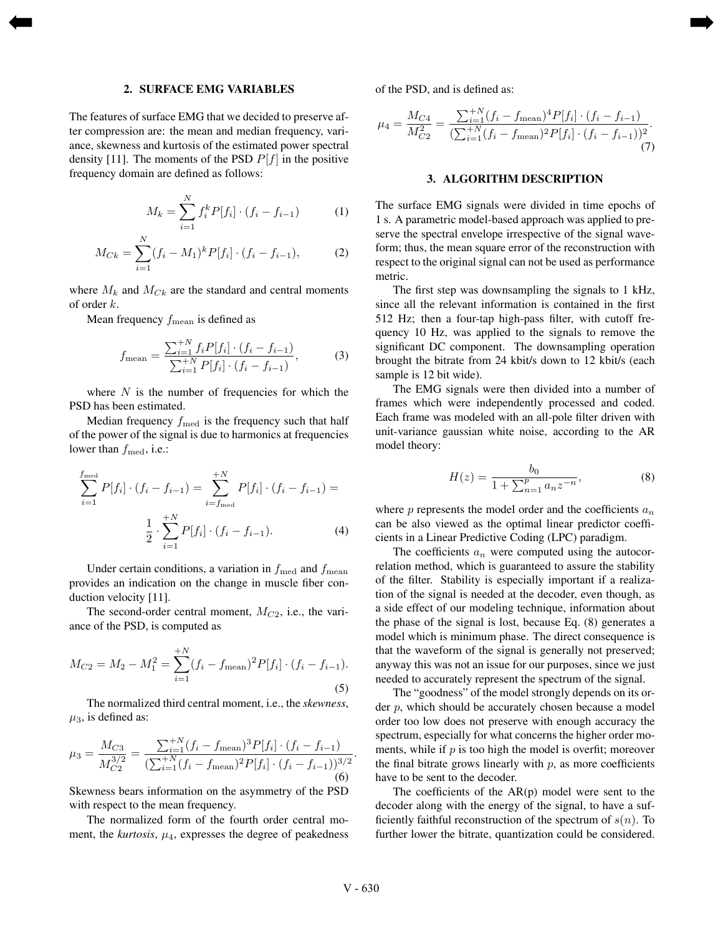#### **2. SURFACE EMG VARIABLES**

<span id="page-1-0"></span>[➡](#page-0-0)

The features of surface EMG that we decided to preserve after compression are: the mean and median frequency, variance, skewness and kurtosis of the estimated power spectral density [11]. The moments of the PSD  $P[f]$  in the positive frequency domain are defined as follows:

$$
M_k = \sum_{i=1}^{N} f_i^k P[f_i] \cdot (f_i - f_{i-1}) \tag{1}
$$

$$
M_{Ck} = \sum_{i=1}^{N} (f_i - M_1)^k P[f_i] \cdot (f_i - f_{i-1}), \tag{2}
$$

where  $M_k$  and  $M_{C_k}$  are the standard and central moments of order k.

Mean frequency  $f_{\text{mean}}$  is defined as

$$
f_{\text{mean}} = \frac{\sum_{i=1}^{+N} f_i P[f_i] \cdot (f_i - f_{i-1})}{\sum_{i=1}^{+N} P[f_i] \cdot (f_i - f_{i-1})},\tag{3}
$$

where  $N$  is the number of frequencies for which the PSD has been estimated.

Median frequency  $f_{\text{med}}$  is the frequency such that half of the power of the signal is due to harmonics at frequencies lower than  $f_{\text{med}}$ , i.e.:

$$
\sum_{i=1}^{f_{\text{med}}} P[f_i] \cdot (f_i - f_{i-1}) = \sum_{i=f_{\text{med}}}^{+N} P[f_i] \cdot (f_i - f_{i-1}) =
$$

$$
\frac{1}{2} \cdot \sum_{i=1}^{+N} P[f_i] \cdot (f_i - f_{i-1}). \tag{4}
$$

Under certain conditions, a variation in  $f_{\text{med}}$  and  $f_{\text{mean}}$ provides an indication on the change in muscle fiber conduction velocity [11].

The second-order central moment,  $M_{C2}$ , i.e., the variance of the PSD, is computed as

$$
M_{C2} = M_2 - M_1^2 = \sum_{i=1}^{+N} (f_i - f_{\text{mean}})^2 P[f_i] \cdot (f_i - f_{i-1}).
$$
\n(5)

The normalized third central moment, i.e., the *skewness*,  $\mu_3$ , is defined as:

$$
\mu_3 = \frac{M_{C3}}{M_{C2}^{3/2}} = \frac{\sum_{i=1}^{+N} (f_i - f_{\text{mean}})^3 P[f_i] \cdot (f_i - f_{i-1})}{(\sum_{i=1}^{+N} (f_i - f_{\text{mean}})^2 P[f_i] \cdot (f_i - f_{i-1}))^{3/2}}.
$$
\n(6)

Skewness bears information on the asymmetry of the PSD with respect to the mean frequency.

The normalized form of the fourth order central moment, the *kurtosis*,  $\mu_4$ , expresses the degree of peakedness of the PSD, and is defined as:

[➡](#page-2-0)

$$
\mu_4 = \frac{M_{C4}}{M_{C2}^2} = \frac{\sum_{i=1}^{+N} (f_i - f_{\text{mean}})^4 P[f_i] \cdot (f_i - f_{i-1})}{(\sum_{i=1}^{+N} (f_i - f_{\text{mean}})^2 P[f_i] \cdot (f_i - f_{i-1}))^2}.
$$
\n(7)

#### **3. ALGORITHM DESCRIPTION**

The surface EMG signals were divided in time epochs of 1 s. A parametric model-based approach was applied to preserve the spectral envelope irrespective of the signal waveform; thus, the mean square error of the reconstruction with respect to the original signal can not be used as performance metric.

The first step was downsampling the signals to 1 kHz, since all the relevant information is contained in the first 512 Hz; then a four-tap high-pass filter, with cutoff frequency 10 Hz, was applied to the signals to remove the significant DC component. The downsampling operation brought the bitrate from 24 kbit/s down to 12 kbit/s (each sample is 12 bit wide).

The EMG signals were then divided into a number of frames which were independently processed and coded. Each frame was modeled with an all-pole filter driven with unit-variance gaussian white noise, according to the AR model theory:

$$
H(z) = \frac{b_0}{1 + \sum_{n=1}^{p} a_n z^{-n}},
$$
\n(8)

where  $p$  represents the model order and the coefficients  $a_n$ can be also viewed as the optimal linear predictor coefficients in a Linear Predictive Coding (LPC) paradigm.

The coefficients  $a_n$  were computed using the autocorrelation method, which is guaranteed to assure the stability of the filter. Stability is especially important if a realization of the signal is needed at the decoder, even though, as a side effect of our modeling technique, information about the phase of the signal is lost, because Eq. (8) generates a model which is minimum phase. The direct consequence is that the waveform of the signal is generally not preserved; anyway this was not an issue for our purposes, since we just needed to accurately represent the spectrum of the signal.

The "goodness" of the model strongly depends on its order  $p$ , which should be accurately chosen because a model order too low does not preserve with enough accuracy the spectrum, especially for what concerns the higher order moments, while if  $p$  is too high the model is overfit; moreover the final bitrate grows linearly with  $p$ , as more coefficients have to be sent to the decoder.

The coefficients of the  $AR(p)$  model were sent to the decoder along with the energy of the signal, to have a sufficiently faithful reconstruction of the spectrum of  $s(n)$ . To further lower the bitrate, quantization could be considered.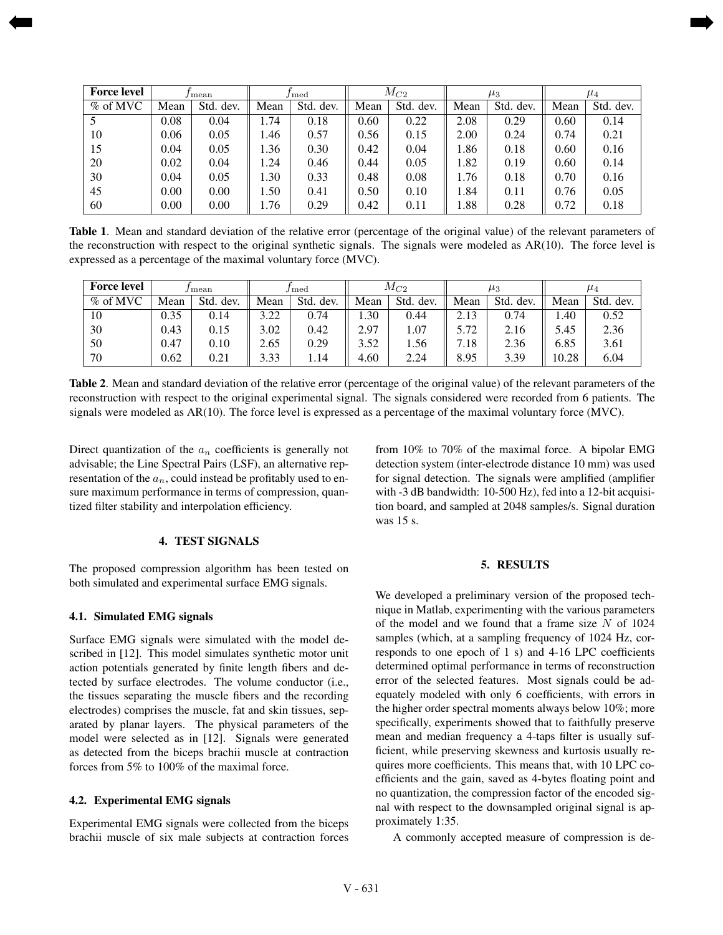| <b>Force level</b> | / mean   |           |      |           | $M_{C2}$ |           | $\mu_3$ |              | $\mu_4$ |           |
|--------------------|----------|-----------|------|-----------|----------|-----------|---------|--------------|---------|-----------|
| $\%$ of MVC        | Mean     | Std. dev. | Mean | Std. dev. | Mean     | Std. dev. | Mean    | Std.<br>dev. | Mean    | Std. dev. |
|                    | 0.08     | 0.04      | 1.74 | 0.18      | 0.60     | 0.22      | 2.08    | 0.29         | 0.60    | 0.14      |
| 10                 | 0.06     | 0.05      | 1.46 | 0.57      | 0.56     | 0.15      | 2.00    | 0.24         | 0.74    | 0.21      |
| 15                 | 0.04     | 0.05      | 1.36 | 0.30      | 0.42     | 0.04      | 1.86    | 0.18         | 0.60    | 0.16      |
| 20                 | 0.02     | 0.04      | l.24 | 0.46      | 0.44     | 0.05      | 1.82    | 0.19         | 0.60    | 0.14      |
| 30                 | 0.04     | 0.05      | 1.30 | 0.33      | 0.48     | 0.08      | .76     | 0.18         | 0.70    | 0.16      |
| 45                 | $0.00\,$ | 0.00      | 1.50 | 0.41      | 0.50     | 0.10      | .84     | 0.11         | 0.76    | 0.05      |
| 60                 | 0.00     | 0.00      | 1.76 | 0.29      | 0.42     | 0.11      | l.88    | 0.28         | 0.72    | 0.18      |

[➡](#page-3-0)

**Table 1**. Mean and standard deviation of the relative error (percentage of the original value) of the relevant parameters of the reconstruction with respect to the original synthetic signals. The signals were modeled as  $AR(10)$ . The force level is expressed as a percentage of the maximal voluntary force (MVC).

| <b>Force level</b> | / mean |              | l med       |              | $M_{C2}$ |              | $\mu_3$ |              | $\mu_4$ |           |
|--------------------|--------|--------------|-------------|--------------|----------|--------------|---------|--------------|---------|-----------|
| $\%$ of MVC        | Mean   | Std.<br>dev. | Mean        | Std.<br>dev. | Mean     | Std.<br>dev. | Mean    | Std.<br>dev. | Mean    | Std. dev. |
| 10                 | 0.35   | 0.14         | 222<br>. 44 | 0.74         | 1.30     | 0.44         | 2.13    | 0.74         | 1.40    | 0.52      |
| 30                 | 0.43   | 0.15         | 3.02        | 0.42         | 2.97     | 1.07         | 5.72    | 2.16         | 5.45    | 2.36      |
| 50                 | 0.47   | 0.10         | 2.65        | 0.29         | 3.52     | 1.56         | 1.18    | 2.36         | 6.85    | 3.61      |
| 70                 | 0.62   | 0.21         | 3.33        | 1.14         | 4.60     | 2.24         | 8.95    | 3.39         | 10.28   | 6.04      |

**Table 2**. Mean and standard deviation of the relative error (percentage of the original value) of the relevant parameters of the reconstruction with respect to the original experimental signal. The signals considered were recorded from 6 patients. The signals were modeled as AR(10). The force level is expressed as a percentage of the maximal voluntary force (MVC).

Direct quantization of the  $a_n$  coefficients is generally not advisable; the Line Spectral Pairs (LSF), an alternative representation of the  $a_n$ , could instead be profitably used to ensure maximum performance in terms of compression, quantized filter stability and interpolation efficiency.

# **4. TEST SIGNALS**

The proposed compression algorithm has been tested on both simulated and experimental surface EMG signals.

#### **4.1. Simulated EMG signals**

<span id="page-2-0"></span>[➡](#page-1-0)

Surface EMG signals were simulated with the model described in [12]. This model simulates synthetic motor unit action potentials generated by finite length fibers and detected by surface electrodes. The volume conductor (i.e., the tissues separating the muscle fibers and the recording electrodes) comprises the muscle, fat and skin tissues, separated by planar layers. The physical parameters of the model were selected as in [12]. Signals were generated as detected from the biceps brachii muscle at contraction forces from 5% to 100% of the maximal force.

#### **4.2. Experimental EMG signals**

Experimental EMG signals were collected from the biceps brachii muscle of six male subjects at contraction forces from 10% to 70% of the maximal force. A bipolar EMG detection system (inter-electrode distance 10 mm) was used for signal detection. The signals were amplified (amplifier with -3 dB bandwidth: 10-500 Hz), fed into a 12-bit acquisition board, and sampled at 2048 samples/s. Signal duration was 15 s.

# **5. RESULTS**

We developed a preliminary version of the proposed technique in Matlab, experimenting with the various parameters of the model and we found that a frame size  $N$  of 1024 samples (which, at a sampling frequency of 1024 Hz, corresponds to one epoch of 1 s) and 4-16 LPC coefficients determined optimal performance in terms of reconstruction error of the selected features. Most signals could be adequately modeled with only 6 coefficients, with errors in the higher order spectral moments always below 10%; more specifically, experiments showed that to faithfully preserve mean and median frequency a 4-taps filter is usually sufficient, while preserving skewness and kurtosis usually requires more coefficients. This means that, with 10 LPC coefficients and the gain, saved as 4-bytes floating point and no quantization, the compression factor of the encoded signal with respect to the downsampled original signal is approximately 1:35.

A commonly accepted measure of compression is de-